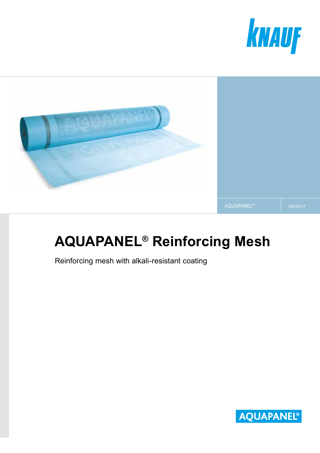



# **AQUAPANEL® Reinforcing Mesh**

Reinforcing mesh with alkali-resistant coating